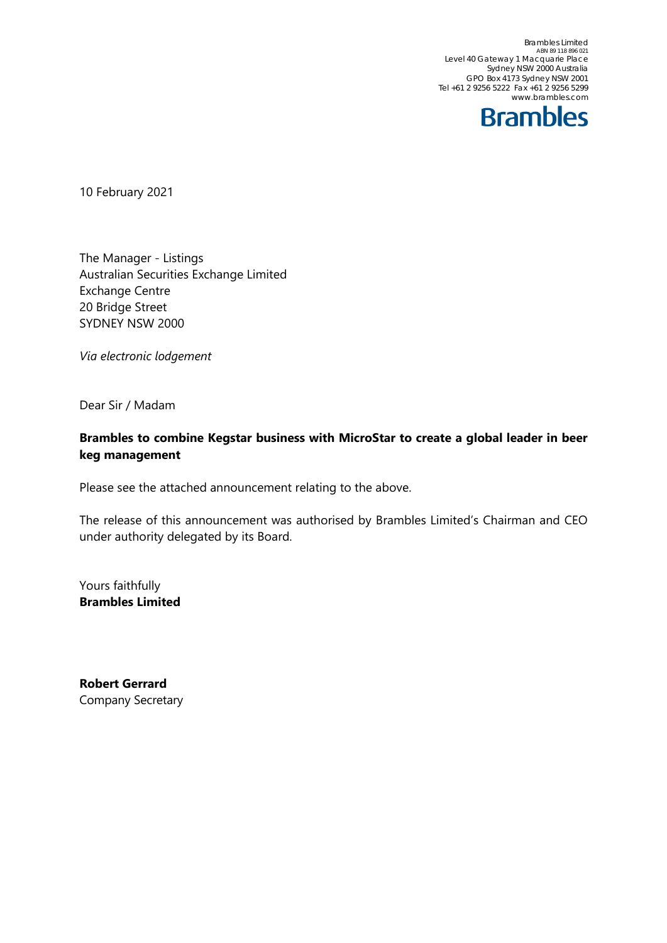Brambles Limited<br>ABN 89 118 896 021 Level 40 Gateway 1 Macquarie Place Sydney NSW 2000 Australia GPO Box 4173 Sydney NSW 2001 Tel +61 2 9256 5222 Fax +61 2 9256 5299 www.brambles.com



10 February 2021

The Manager - Listings Australian Securities Exchange Limited Exchange Centre 20 Bridge Street SYDNEY NSW 2000

*Via electronic lodgement*

Dear Sir / Madam

### **Brambles to combine Kegstar business with MicroStar to create a global leader in beer keg management**

Please see the attached announcement relating to the above.

The release of this announcement was authorised by Brambles Limited's Chairman and CEO under authority delegated by its Board.

Yours faithfully **Brambles Limited**

**Robert Gerrard** Company Secretary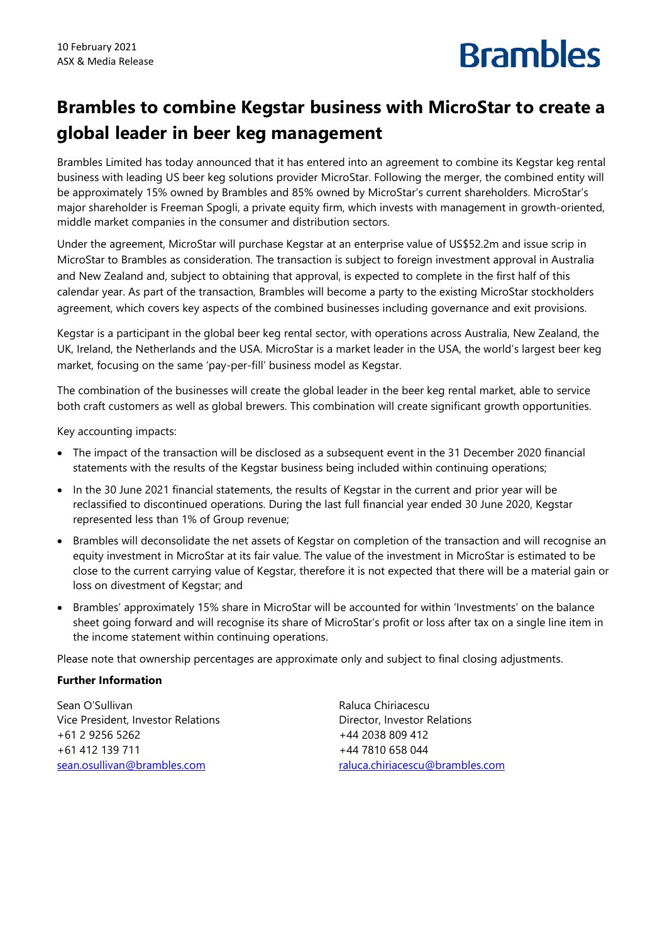## **Brambles**

### **Brambles to combine Kegstar business with MicroStar to create a global leader in beer keg management**

Brambles Limited has today announced that it has entered into an agreement to combine its Kegstar keg rental business with leading US beer keg solutions provider MicroStar. Following the merger, the combined entity will be approximately 15% owned by Brambles and 85% owned by MicroStar's current shareholders. MicroStar's major shareholder is Freeman Spogli, a private equity firm, which invests with management in growth-oriented, middle market companies in the consumer and distribution sectors.

Under the agreement, MicroStar will purchase Kegstar at an enterprise value of US\$52.2m and issue scrip in MicroStar to Brambles as consideration. The transaction is subject to foreign investment approval in Australia and New Zealand and, subject to obtaining that approval, is expected to complete in the first half of this calendar year. As part of the transaction, Brambles will become a party to the existing MicroStar stockholders agreement, which covers key aspects of the combined businesses including governance and exit provisions.

Kegstar is a participant in the global beer keg rental sector, with operations across Australia, New Zealand, the UK, Ireland, the Netherlands and the USA. MicroStar is a market leader in the USA, the world's largest beer keg market, focusing on the same 'pay-per-fill' business model as Kegstar.

The combination of the businesses will create the global leader in the beer keg rental market, able to service both craft customers as well as global brewers. This combination will create significant growth opportunities.

Key accounting impacts:

- The impact of the transaction will be disclosed as a subsequent event in the 31 December 2020 financial statements with the results of the Kegstar business being included within continuing operations;
- In the 30 June 2021 financial statements, the results of Kegstar in the current and prior year will be reclassified to discontinued operations. During the last full financial year ended 30 June 2020, Kegstar represented less than 1% of Group revenue;
- Brambles will deconsolidate the net assets of Kegstar on completion of the transaction and will recognise an equity investment in MicroStar at its fair value. The value of the investment in MicroStar is estimated to be close to the current carrying value of Kegstar, therefore it is not expected that there will be a material gain or loss on divestment of Kegstar; and
- Brambles' approximately 15% share in MicroStar will be accounted for within 'Investments' on the balance sheet going forward and will recognise its share of MicroStar's profit or loss after tax on a single line item in the income statement within continuing operations.

Please note that ownership percentages are approximate only and subject to final closing adjustments.

### **Further Information**

Sean O'Sullivan Vice President, Investor Relations +61 2 9256 5262 +61 412 139 711 [sean.osullivan@brambles.com](mailto:san.osullivan@brambles.com)

Raluca Chiriacescu Director, Investor Relations +44 2038 809 412 +44 7810 658 044 [raluca.chiriacescu@brambles.com](mailto:raluca.chiriacescu@brambles.com)